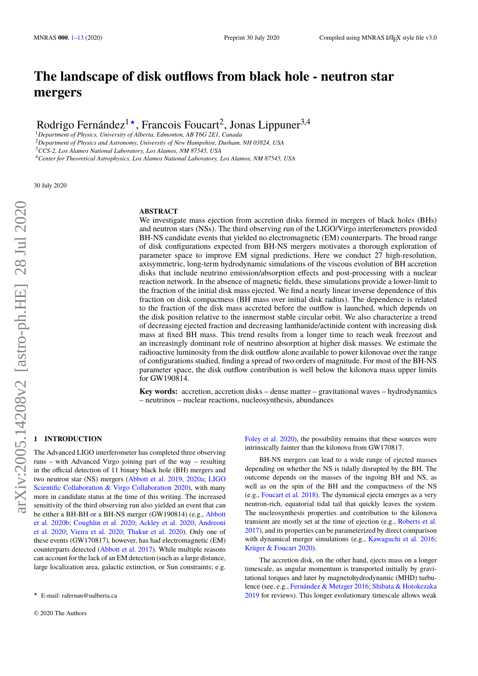# **The landscape of disk outflows from black hole - neutron star mergers**

Rodrigo Fernández<sup>1\*</sup>, Francois Foucart<sup>2</sup>, Jonas Lippuner<sup>3,4</sup>

<sup>1</sup>*Department of Physics, University of Alberta, Edmonton, AB T6G 2E1, Canada*

<sup>2</sup>*Department of Physics and Astronomy, University of New Hampshire, Durham, NH 03824, USA*

<sup>3</sup>*CCS-2, Los Alamos National Laboratory, Los Alamos, NM 87545, USA*

<sup>4</sup>*Center for Theoretical Astrophysics, Los Alamos National Laboratory, Los Alamos, NM 87545, USA*

30 July 2020

**ABSTRACT**

We investigate mass ejection from accretion disks formed in mergers of black holes (BHs) and neutron stars (NSs). The third observing run of the LIGO/Virgo interferometers provided BH-NS candidate events that yielded no electromagnetic (EM) counterparts. The broad range of disk configurations expected from BH-NS mergers motivates a thorough exploration of parameter space to improve EM signal predictions. Here we conduct 27 high-resolution, axisymmetric, long-term hydrodynamic simulations of the viscous evolution of BH accretion disks that include neutrino emission/absorption effects and post-processing with a nuclear reaction network. In the absence of magnetic fields, these simulations provide a lower-limit to the fraction of the initial disk mass ejected. We find a nearly linear inverse dependence of this fraction on disk compactness (BH mass over initial disk radius). The dependence is related to the fraction of the disk mass accreted before the outflow is launched, which depends on the disk position relative to the innermost stable circular orbit. We also characterize a trend of decreasing ejected fraction and decreasing lanthanide/actinide content with increasing disk mass at fixed BH mass. This trend results from a longer time to reach weak freezout and an increasingly dominant role of neutrino absorption at higher disk masses. We estimate the radioactive luminosity from the disk outflow alone available to power kilonovae over the range of configurations studied, finding a spread of two orders of magnitude. For most of the BH-NS parameter space, the disk outflow contribution is well below the kilonova mass upper limits for GW190814.

**Key words:** accretion, accretion disks – dense matter – gravitational waves – hydrodynamics – neutrinos – nuclear reactions, nucleosynthesis, abundances

# <span id="page-0-0"></span>**1 INTRODUCTION**

The Advanced LIGO interferometer has completed three observing runs – with Advanced Virgo joining part of the way – resulting in the official detection of 11 binary black hole (BH) mergers and two neutron star (NS) mergers [\(Abbott et al.](#page-11-0) [2019,](#page-11-0) [2020a;](#page-11-1) [LIGO](#page-12-0) [Scientific Collaboration & Virgo Collaboration](#page-12-0) [2020\)](#page-12-0), with many more in candidate status at the time of this writing. The increased sensitivity of the third observing run also yielded an event that can be either a BH-BH or a BH-NS merger (GW190814) (e.g., [Abbott](#page-11-2) [et al.](#page-11-2) [2020b;](#page-11-2) [Coughlin et al.](#page-12-1) [2020;](#page-12-1) [Ackley et al.](#page-11-3) [2020;](#page-11-3) [Andreoni](#page-11-4) [et al.](#page-11-4) [2020;](#page-11-4) [Vieira et al.](#page-12-2) [2020;](#page-12-2) [Thakur et al.](#page-12-3) [2020\)](#page-12-3). Only one of these events (GW170817), however, has had electromagnetic (EM) counterparts detected [\(Abbott et al.](#page-11-5) [2017\)](#page-11-5). While multiple reasons can account for the lack of an EM detection (such as a large distance, large localization area, galactic extinction, or Sun constraints; e.g.

[Foley et al.](#page-12-4) [2020\)](#page-12-4), the possibility remains that these sources were intrinsically fainter than the kilonova from GW170817.

BH-NS mergers can lead to a wide range of ejected masses depending on whether the NS is tidally disrupted by the BH. The outcome depends on the masses of the ingoing BH and NS, as well as on the spin of the BH and the compactness of the NS (e.g., [Foucart et al.](#page-12-5) [2018\)](#page-12-5). The dynamical ejecta emerges as a very neutron-rich, equatorial tidal tail that quickly leaves the system. The nucleosynthesis properties and contribution to the kilonova transient are mostly set at the time of ejection (e.g., [Roberts et al.](#page-12-6) [2017\)](#page-12-6), and its properties can be parameterized by direct comparison with dynamical merger simulations (e.g., [Kawaguchi et al.](#page-12-7) [2016;](#page-12-7) [Krüger & Foucart](#page-12-8) [2020\)](#page-12-8).

The accretion disk, on the other hand, ejects mass on a longer timescale, as angular momentum is transported initially by gravitational torques and later by magnetohydrodynamic (MHD) turbulence (see, e.g., [Fernández & Metzger](#page-12-9) [2016;](#page-12-9) [Shibata & Hotokezaka](#page-12-10) [2019](#page-12-10) for reviews). This longer evolutionary timescale allows weak

<sup>?</sup> E-mail: rafernan@ualberta.ca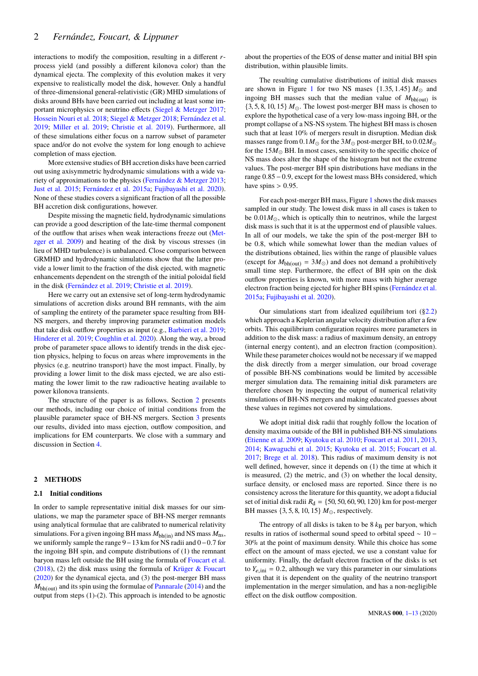interactions to modify the composition, resulting in a different *r*process yield (and possibly a different kilonova color) than the dynamical ejecta. The complexity of this evolution makes it very expensive to realistically model the disk, however. Only a handful of three-dimensional general-relativistic (GR) MHD simulations of disks around BHs have been carried out including at least some important microphysics or neutrino effects [\(Siegel & Metzger](#page-12-11) [2017;](#page-12-11) [Hossein Nouri et al.](#page-12-12) [2018;](#page-12-12) [Siegel & Metzger](#page-12-13) [2018;](#page-12-13) [Fernández et al.](#page-12-14) [2019;](#page-12-14) [Miller et al.](#page-12-15) [2019;](#page-12-15) [Christie et al.](#page-12-16) [2019\)](#page-12-16). Furthermore, all of these simulations either focus on a narrow subset of parameter space and/or do not evolve the system for long enough to achieve completion of mass ejection.

More extensive studies of BH accretion disks have been carried out using axisymmetric hydrodynamic simulations with a wide variety of approximations to the physics [\(Fernández & Metzger](#page-12-17) [2013;](#page-12-17) [Just et al.](#page-12-18) [2015;](#page-12-18) [Fernández et al.](#page-12-19) [2015a;](#page-12-19) [Fujibayashi et al.](#page-12-20) [2020\)](#page-12-20). None of these studies covers a significant fraction of all the possible BH accretion disk configurations, however.

Despite missing the magnetic field, hydrodynamic simulations can provide a good description of the late-time thermal component of the outflow that arises when weak interactions freeze out [\(Met](#page-12-21)[zger et al.](#page-12-21) [2009\)](#page-12-21) and heating of the disk by viscous stresses (in lieu of MHD turbulence) is unbalanced. Close comparison between GRMHD and hydrodynamic simulations show that the latter provide a lower limit to the fraction of the disk ejected, with magnetic enhancements dependent on the strength of the initial poloidal field in the disk [\(Fernández et al.](#page-12-14) [2019;](#page-12-14) [Christie et al.](#page-12-16) [2019\)](#page-12-16).

Here we carry out an extensive set of long-term hydrodynamic simulations of accretion disks around BH remnants, with the aim of sampling the entirety of the parameter space resulting from BH-NS mergers, and thereby improving parameter estimation models that take disk outflow properties as input (e.g., [Barbieri et al.](#page-12-22) [2019;](#page-12-22) [Hinderer et al.](#page-12-23) [2019;](#page-12-23) [Coughlin et al.](#page-12-1) [2020\)](#page-12-1). Along the way, a broad probe of parameter space allows to identify trends in the disk ejection physics, helping to focus on areas where improvements in the physics (e.g. neutrino transport) have the most impact. Finally, by providing a lower limit to the disk mass ejected, we are also estimating the lower limit to the raw radioactive heating available to power kilonova transients.

The structure of the paper is as follows. Section [2](#page-1-0) presents our methods, including our choice of initial conditions from the plausible parameter space of BH-NS mergers. Section [3](#page-3-0) presents our results, divided into mass ejection, outflow composition, and implications for EM counterparts. We close with a summary and discussion in Section [4.](#page-10-0)

#### <span id="page-1-0"></span>**2 METHODS**

#### <span id="page-1-1"></span>**2.1 Initial conditions**

In order to sample representative initial disk masses for our simulations, we map the parameter space of BH-NS merger remnants using analytical formulae that are calibrated to numerical relativity simulations. For a given ingoing BH mass  $M_{\rm bh(in)}$  and NS mass  $M_{\rm ns}$ , we uniformly sample the range <sup>9</sup>−<sup>13</sup> km for NS radii and <sup>0</sup>−0.<sup>7</sup> for the ingoing BH spin, and compute distributions of (1) the remnant baryon mass left outside the BH using the formula of [Foucart et al.](#page-12-5) [\(2018\)](#page-12-5), (2) the disk mass using the formula of [Krüger & Foucart](#page-12-8) [\(2020\)](#page-12-8) for the dynamical ejecta, and (3) the post-merger BH mass  $M_{\rm bh(out)}$  and its spin using the formulae of [Pannarale](#page-12-24) [\(2014\)](#page-12-24) and the output from steps (1)-(2). This approach is intended to be agnostic

about the properties of the EOS of dense matter and initial BH spin distribution, within plausible limits.

The resulting cumulative distributions of initial disk masses are shown in Figure [1](#page-2-0) for two NS mases  $\{1.35, 1.45\} M_{\odot}$  and ingoing BH masses such that the median value of  $M<sub>bh(out)</sub>$  is  $\{3, 5, 8, 10, 15\}$   $M_{\odot}$ . The lowest post-merger BH mass is chosen to explore the hypothetical case of a very low-mass ingoing BH, or the prompt collapse of a NS-NS system. The highest BH mass is chosen such that at least 10% of mergers result in disruption. Median disk masses range from  $0.1 M_{\odot}$  for the  $3 M_{\odot}$  post-merger BH, to  $0.02 M_{\odot}$ for the  $15M_{\odot}$  BH. In most cases, sensitivity to the specific choice of NS mass does alter the shape of the histogram but not the extreme values. The post-merger BH spin distributions have medians in the range <sup>0</sup>.85−0.9, except for the lowest mass BHs considered, which have spins  $> 0.95$ .

For each post-merger BH mass, Figure [1](#page-2-0) shows the disk masses sampled in our study. The lowest disk mass in all cases is taken to be  $0.01M_{\odot}$ , which is optically thin to neutrinos, while the largest disk mass is such that it is at the uppermost end of plausible values. In all of our models, we take the spin of the post-merger BH to be <sup>0</sup>.8, which while somewhat lower than the median values of the distributions obtained, lies within the range of plausible values (except for  $M_{\text{bh(out)}} = 3M_{\odot}$ ) and does not demand a prohibitively small time step. Furthermore, the effect of BH spin on the disk outflow properties is known, with more mass with higher average electron fraction being ejected for higher BH spins [\(Fernández et al.](#page-12-19) [2015a;](#page-12-19) [Fujibayashi et al.](#page-12-20) [2020\)](#page-12-20).

Our simulations start from idealized equilibrium tori  $(\S2.2)$ which approach a Keplerian angular velocity distribution after a few orbits. This equilibrium configuration requires more parameters in addition to the disk mass: a radius of maximum density, an entropy (internal energy content), and an electron fraction (composition). While these parameter choices would not be necessary if we mapped the disk directly from a merger simulation, our broad coverage of possible BH-NS combinations would be limited by accessible merger simulation data. The remaining initial disk parameters are therefore chosen by inspecting the output of numerical relativity simulations of BH-NS mergers and making educated guesses about these values in regimes not covered by simulations.

We adopt initial disk radii that roughly follow the location of density maxima outside of the BH in published BH-NS simulations [\(Etienne et al.](#page-12-25) [2009;](#page-12-25) [Kyutoku et al.](#page-12-26) [2010;](#page-12-26) [Foucart et al.](#page-12-27) [2011,](#page-12-27) [2013,](#page-12-28) [2014;](#page-12-29) [Kawaguchi et al.](#page-12-30) [2015;](#page-12-30) [Kyutoku et al.](#page-12-31) [2015;](#page-12-31) [Foucart et al.](#page-12-32) [2017;](#page-12-32) [Brege et al.](#page-12-33) [2018\)](#page-12-33). This radius of maximum density is not well defined, however, since it depends on (1) the time at which it is measured, (2) the metric, and (3) on whether the local density, surface density, or enclosed mass are reported. Since there is no consistency across the literature for this quantity, we adopt a fiducial set of initial disk radii  $R<sub>d</sub> = \{50, 50, 60, 90, 120\}$  km for post-merger BH masses  $\{3, 5, 8, 10, 15\}$   $M_{\odot}$ , respectively.

The entropy of all disks is taken to be  $8 \, k_B$  per baryon, which results in ratios of isothermal sound speed to orbital speed ∼ 10 − 30% at the point of maximum density. While this choice has some effect on the amount of mass ejected, we use a constant value for uniformity. Finally, the default electron fraction of the disks is set to  $Y_{e,ini} = 0.2$ , although we vary this parameter in our simulations given that it is dependent on the quality of the neutrino transport implementation in the merger simulation, and has a non-negligible effect on the disk outflow composition.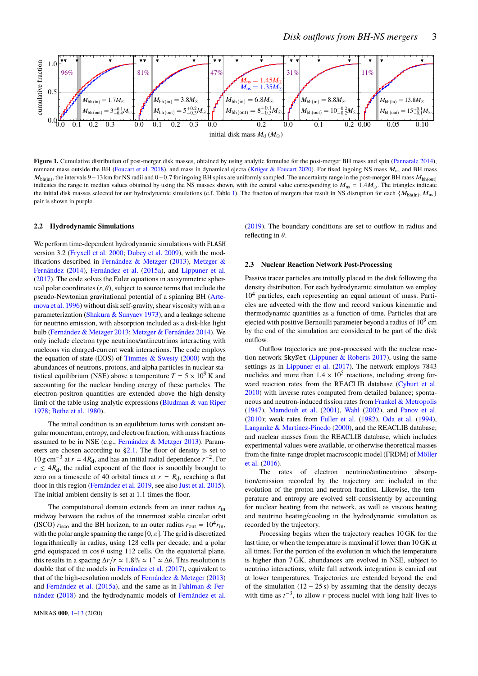

**Figure 1.** Cumulative distribution of post-merger disk masses, obtained by using analytic formulae for the post-merger BH mass and spin [\(Pannarale](#page-12-24) [2014\)](#page-12-24), remnant mass outside the BH [\(Foucart et al.](#page-12-5) [2018\)](#page-12-5), and mass in dynamical ejecta [\(Krüger & Foucart](#page-12-8) [2020\)](#page-12-8). For fixed ingoing NS mass  $M_{ns}$  and BH mass  $M_{bh(in)}$ , the intervals 9–13 km for NS radii and 0–0.7 for ingoing BH spins are uniformly sampled. The uncertainty range in the post-merger BH mass  $M_{bh(out)}$  indicates the range in median values obtained by using the NS mass indicates the range in median values obtained by using the NS masses shown, with the central value corresponding to  $M_{\text{ns}} = 1.4 M_{\odot}$ . The triangles indicate the initial disk masses selected for our hydrodynamic simulations (c.f. Table [1\)](#page-3-1). The fraction of mergers that result in NS disruption for each  $\{M_{bh(in)}, M_{ns}\}$ pair is shown in purple.

#### <span id="page-2-1"></span>**2.2 Hydrodynamic Simulations**

We perform time-dependent hydrodynamic simulations with FLASH version 3.2 [\(Fryxell et al.](#page-12-34) [2000;](#page-12-34) [Dubey et al.](#page-12-35) [2009\)](#page-12-35), with the modifications described in [Fernández & Metzger](#page-12-17) [\(2013\)](#page-12-17), [Metzger &](#page-12-36) [Fernández](#page-12-36) [\(2014\)](#page-12-36), [Fernández et al.](#page-12-19) [\(2015a\)](#page-12-19), and [Lippuner et al.](#page-12-37) [\(2017\)](#page-12-37). The code solves the Euler equations in axisymmetric spherical polar coordinates  $(r, \theta)$ , subject to source terms that include the pseudo-Newtonian gravitational potential of a spinning BH [\(Arte](#page-11-6)[mova et al.](#page-11-6) [1996\)](#page-11-6) without disk self-gravity, shear viscosity with an  $\alpha$ parameterization [\(Shakura & Sunyaev](#page-12-38) [1973\)](#page-12-38), and a leakage scheme for neutrino emission, with absorption included as a disk-like light bulb [\(Fernández & Metzger](#page-12-17) [2013;](#page-12-17) [Metzger & Fernández](#page-12-36) [2014\)](#page-12-36). We only include electron type neutrinos/antineutrinos interacting with nucleons via charged-current weak interactions. The code employs the equation of state (EOS) of Timmes  $\&$  Swesty [\(2000\)](#page-12-39) with the abundances of neutrons, protons, and alpha particles in nuclear statistical equilibrium (NSE) above a temperature  $T = 5 \times 10^9$  K and accounting for the nuclear binding energy of these particles. The electron-positron quantities are extended above the high-density limit of the table using analytic expressions [\(Bludman & van Riper](#page-12-40) [1978;](#page-12-40) [Bethe et al.](#page-12-41) [1980\)](#page-12-41).

The initial condition is an equilibrium torus with constant angular momentum, entropy, and electron fraction, with mass fractions assumed to be in NSE (e.g., [Fernández & Metzger](#page-12-17) [2013\)](#page-12-17). Parameters are chosen according to [§2.1.](#page-1-1) The floor of density is set to 10 g cm<sup>−3</sup> at  $r = 4R_d$ , and has an initial radial dependence  $r^{-2}$ . For  $r \leq 4R_d$ , the radial exponent of the floor is smoothly brought to zero on a timescale of 40 orbital times at  $r = R_d$ , reaching a flat floor in this region [\(Fernández et al.](#page-12-14) [2019,](#page-12-14) see also [Just et al.](#page-12-18) [2015\)](#page-12-18). The initial ambient density is set at <sup>1</sup>.<sup>1</sup> times the floor.

The computational domain extends from an inner radius *r*in midway between the radius of the innermost stable circular orbit (ISCO)  $r_{\text{isco}}$  and the BH horizon, to an outer radius  $r_{\text{out}} = 10^4 r_{\text{in}}$ , with the polar angle spanning the range  $[0, \pi]$ . The grid is discretized logarithmically in radius, using 128 cells per decade, and a polar grid equispaced in  $\cos \theta$  using 112 cells. On the equatorial plane, this results in a spacing  $\Delta r/r \approx 1.8\% \approx 1^\circ \approx \Delta \theta$ . This resolution is double that of the models in Fernández et al. (2017) equivalent to double that of the models in [Fernández et al.](#page-12-42) [\(2017\)](#page-12-42), equivalent to that of the high-resolution models of [Fernández & Metzger](#page-12-17) [\(2013\)](#page-12-17) and [Fernández et al.](#page-12-19) [\(2015a\)](#page-12-19), and the same as in [Fahlman & Fer](#page-12-43)[nández](#page-12-43) [\(2018\)](#page-12-43) and the hydrodynamic models of [Fernández et al.](#page-12-14)

<span id="page-2-0"></span>[\(2019\)](#page-12-14). The boundary conditions are set to outflow in radius and reflecting in  $\theta$ .

#### <span id="page-2-2"></span>**2.3 Nuclear Reaction Network Post-Processing**

Passive tracer particles are initially placed in the disk following the density distribution. For each hydrodynamic simulation we employ  $10<sup>4</sup>$  particles, each representing an equal amount of mass. Particles are advected with the flow and record various kinematic and thermodynamic quantities as a function of time. Particles that are ejected with positive Bernoulli parameter beyond a radius of  $10^9$  cm by the end of the simulation are considered to be part of the disk outflow.

Outflow trajectories are post-processed with the nuclear reaction network SkyNet [\(Lippuner & Roberts](#page-12-44) [2017\)](#page-12-44), using the same settings as in [Lippuner et al.](#page-12-37) [\(2017\)](#page-12-37). The network employs 7843 nuclides and more than  $1.4 \times 10^5$  reactions, including strong for-<br>ward reaction rates from the BEACLIR database (Cyburt et al. ward reaction rates from the REACLIB database [\(Cyburt et al.](#page-12-45) [2010\)](#page-12-45) with inverse rates computed from detailed balance; spontaneous and neutron-induced fission rates from [Frankel & Metropolis](#page-12-46) [\(1947\)](#page-12-46), [Mamdouh et al.](#page-12-47) [\(2001\)](#page-12-47), [Wahl](#page-12-48) [\(2002\)](#page-12-48), and [Panov et al.](#page-12-49) [\(2010\)](#page-12-49); weak rates from [Fuller et al.](#page-12-50) [\(1982\)](#page-12-50), [Oda et al.](#page-12-51) [\(1994\)](#page-12-51), [Langanke & Martínez-Pinedo](#page-12-52) [\(2000\)](#page-12-52), and the REACLIB database; and nuclear masses from the REACLIB database, which includes experimental values were available, or otherwise theoretical masses from the finite-range droplet macroscopic model (FRDM) of [Möller](#page-12-53) [et al.](#page-12-53) [\(2016\)](#page-12-53).

The rates of electron neutrino/antineutrino absorption/emission recorded by the trajectory are included in the evolution of the proton and neutron fraction. Likewise, the temperature and entropy are evolved self-consistently by accounting for nuclear heating from the network, as well as viscous heating and neutrino heating/cooling in the hydrodynamic simulation as recorded by the trajectory.

Processing begins when the trajectory reaches 10 GK for the last time, or when the temperature is maximal if lower than 10 GK at all times. For the portion of the evolution in which the temperature is higher than 7 GK, abundances are evolved in NSE, subject to neutrino interactions, while full network integration is carried out at lower temperatures. Trajectories are extended beyond the end of the simulation  $(12 - 25 s)$  by assuming that the density decays with time as  $t^{-3}$ , to allow *r*-process nuclei with long half-lives to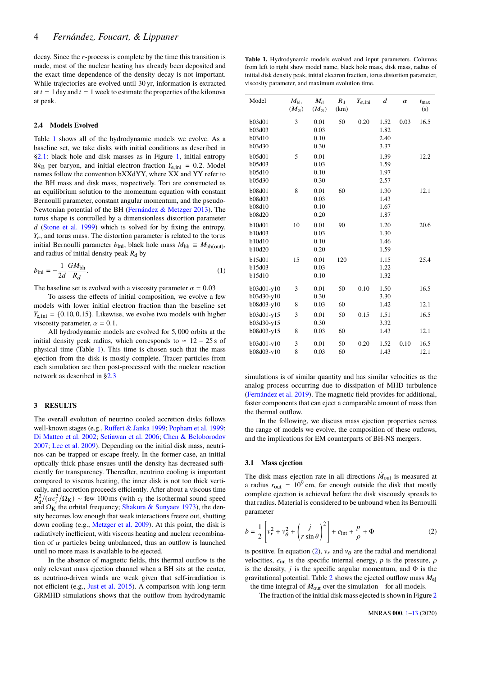decay. Since the *r*-process is complete by the time this transition is made, most of the nuclear heating has already been deposited and the exact time dependence of the density decay is not important. While trajectories are evolved until 30 yr, information is extracted at  $t = 1$  day and  $t = 1$  week to estimate the properties of the kilonova at peak.

#### **2.4 Models Evolved**

Table [1](#page-3-1) shows all of the hydrodynamic models we evolve. As a baseline set, we take disks with initial conditions as described in [§2.1:](#page-1-1) black hole and disk masses as in Figure [1,](#page-2-0) initial entropy  $8k_B$  per baryon, and initial electron fraction  $Y_{e,ini} = 0.2$ . Model names follow the convention bXXdYY, where XX and YY refer to the BH mass and disk mass, respectively. Tori are constructed as an equilibrium solution to the momentum equation with constant Bernoulli parameter, constant angular momentum, and the pseudo-Newtonian potential of the BH [\(Fernández & Metzger](#page-12-17) [2013\)](#page-12-17). The torus shape is controlled by a dimensionless distortion parameter *d* [\(Stone et al.](#page-12-54) [1999\)](#page-12-54) which is solved for by fixing the entropy, *Y*e, and torus mass. The distortion parameter is related to the torus initial Bernoulli parameter  $b_{\text{ini}}$ , black hole mass  $M_{bh} \equiv M_{bh(out)}$ , and radius of initial density peak  $R_d$  by

<span id="page-3-3"></span>
$$
b_{\text{ini}} = -\frac{1}{2d} \frac{GM_{\text{bh}}}{R_d}.
$$
 (1)

The baseline set is evolved with a viscosity parameter  $\alpha = 0.03$ 

To assess the effects of initial composition, we evolve a few models with lower initial electron fraction than the baseline set  $Y_{\rm e,ini} = \{0.10, 0.15\}$ . Likewise, we evolve two models with higher viscosity parameter,  $\alpha = 0.1$ .

All hydrodynamic models are evolved for <sup>5</sup>, <sup>000</sup> orbits at the initial density peak radius, which corresponds to  $\simeq 12 - 25$  s of physical time (Table [1\)](#page-3-1). This time is chosen such that the mass ejection from the disk is mostly complete. Tracer particles from each simulation are then post-processed with the nuclear reaction network as described in [§2.3](#page-2-2)

# <span id="page-3-0"></span>**3 RESULTS**

The overall evolution of neutrino cooled accretion disks follows well-known stages (e.g., [Ruffert & Janka](#page-12-55) [1999;](#page-12-55) [Popham et al.](#page-12-56) [1999;](#page-12-56) [Di Matteo et al.](#page-12-57) [2002;](#page-12-57) [Setiawan et al.](#page-12-58) [2006;](#page-12-58) [Chen & Beloborodov](#page-12-59) [2007;](#page-12-59) [Lee et al.](#page-12-60) [2009\)](#page-12-60). Depending on the initial disk mass, neutrinos can be trapped or escape freely. In the former case, an initial optically thick phase ensues until the density has decreased sufficiently for transparency. Thereafter, neutrino cooling is important compared to viscous heating, the inner disk is not too thick vertically, and accretion proceeds efficiently. After about a viscous time  $R_{\rm d}^2/( \alpha c_i^2/\Omega_{\rm K}) \sim$  few 100 ms (with *c<sub>i</sub>* the isothermal sound speed<br>and  $\Omega_{\rm tr}$  the orbital frequency: Shakura & Sunyaey 1973), the denand  $\Omega_K$  the orbital frequency; [Shakura & Sunyaev](#page-12-38) [1973\)](#page-12-38), the density becomes low enough that weak interactions freeze out, shutting down cooling (e.g., [Metzger et al.](#page-12-21) [2009\)](#page-12-21). At this point, the disk is radiatively inefficient, with viscous heating and nuclear recombination of  $\alpha$  particles being unbalanced, thus an outflow is launched until no more mass is available to be ejected.

In the absence of magnetic fields, this thermal outflow is the only relevant mass ejection channel when a BH sits at the center, as neutrino-driven winds are weak given that self-irradiation is not efficient (e.g., [Just et al.](#page-12-18) [2015\)](#page-12-18). A comparison with long-term GRMHD simulations shows that the outflow from hydrodynamic

<span id="page-3-1"></span>**Table 1.** Hydrodynamic models evolved and input parameters. Columns from left to right show model name, black hole mass, disk mass, radius of initial disk density peak, initial electron fraction, torus distortion parameter, viscosity parameter, and maximum evolution time.

| Model                                                     | $M_{\rm bh}$<br>$(M_{\odot})$ | $M_{\rm d}$<br>$(M_{\odot})$ | $R_{\rm d}$<br>(km) | $Y_{e, \text{ini}}$ | d                            | $\alpha$ | $t_{\rm max}$<br>(s) |
|-----------------------------------------------------------|-------------------------------|------------------------------|---------------------|---------------------|------------------------------|----------|----------------------|
| b03d01<br>b03d03<br>b03d10<br>b03d30                      | 3                             | 0.01<br>0.03<br>0.10<br>0.30 | 50                  | 0.20                | 1.52<br>1.82<br>2.40<br>3.37 | 0.03     | 16.5                 |
| b05d01<br>b05d03<br>b05d10<br>b05d30                      | 5                             | 0.01<br>0.03<br>0.10<br>0.30 |                     |                     | 1.39<br>1.59<br>1.97<br>2.57 |          | 12.2                 |
| <b>b08d01</b><br><b>b08d03</b><br>b08d10<br><b>b08d20</b> | 8                             | 0.01<br>0.03<br>0.10<br>0.20 | 60                  |                     | 1.30<br>1.43<br>1.67<br>1.87 |          | 12.1                 |
| b10d01<br>b10d03<br>b10d10<br>b10d20                      | 10                            | 0.01<br>0.03<br>0.10<br>0.20 | 90                  |                     | 1.20<br>1.30<br>1.46<br>1.59 |          | 20.6                 |
| b15d01<br>b15d03<br>b15d10                                | 15                            | 0.01<br>0.03<br>0.10         | 120                 |                     | 1.15<br>1.22<br>1.32         |          | 25.4                 |
| $b03d01-v10$<br>b03d30-y10                                | 3                             | 0.01<br>0.30                 | 50                  | 0.10                | 1.50<br>3.30                 |          | 16.5                 |
| b08d03-y10                                                | 8                             | 0.03                         | 60                  |                     | 1.42                         |          | 12.1                 |
| b03d01-y15<br>b03d30-y15                                  | 3                             | 0.01<br>0.30                 | 50                  | 0.15                | 1.51<br>3.32                 |          | 16.5                 |
| b08d03-y15                                                | 8                             | 0.03                         | 60                  |                     | 1.43                         |          | 12.1                 |
| b03d01-v10<br>b08d03-v10                                  | 3<br>8                        | 0.01<br>0.03                 | 50<br>60            | 0.20                | 1.52<br>1.43                 | 0.10     | 16.5<br>12.1         |

simulations is of similar quantity and has similar velocities as the analog process occurring due to dissipation of MHD turbulence [\(Fernández et al.](#page-12-14) [2019\)](#page-12-14). The magnetic field provides for additional, faster components that can eject a comparable amount of mass than the thermal outflow.

In the following, we discuss mass ejection properties across the range of models we evolve, the composition of these ouflows, and the implications for EM counterparts of BH-NS mergers.

#### <span id="page-3-4"></span>**3.1 Mass ejection**

The disk mass ejection rate in all directions  $\dot{M}_{\text{out}}$  is measured at a radius  $r_{\text{out}} = 10^9 \text{ cm}$ , far enough outside the disk that mostly complete ejection is achieved before the disk viscously spreads to that radius. Material is considered to be unbound when its Bernoulli parameter

<span id="page-3-2"></span>
$$
b = \frac{1}{2} \left[ v_r^2 + v_\theta^2 + \left( \frac{j}{r \sin \theta} \right)^2 \right] + e_{int} + \frac{p}{\rho} + \Phi \tag{2}
$$

is positive. In equation [\(2\)](#page-3-2),  $v_r$  and  $v_\theta$  are the radial and meridional velocities,  $e_{\text{int}}$  is the specific internal energy, *p* is the pressure,  $\rho$ is the density,  $j$  is the specific angular momentum, and  $\Phi$  is the gravitational potential. Table [2](#page-4-0) shows the ejected outflow mass *M*ej – the time integral of  $\dot{M}_{\text{out}}$  over the simulation – for all models.

The fraction of the initial disk mass ejected is shown in Figure [2](#page-4-1)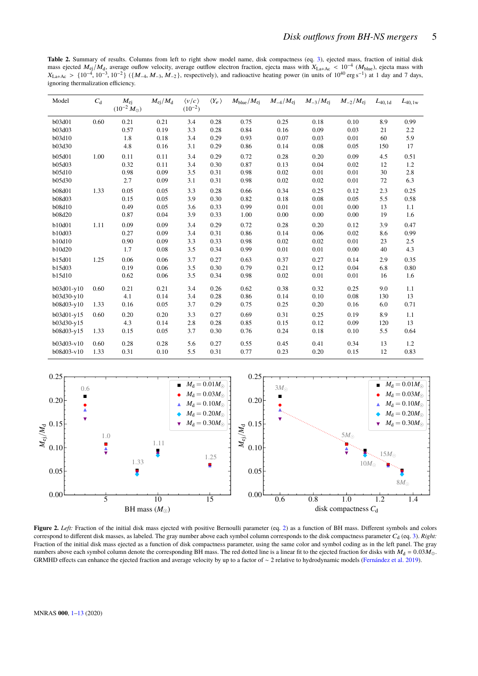<span id="page-4-0"></span>Table 2. Summary of results. Columns from left to right show model name, disk compactness (eq. [3\)](#page-5-0), ejected mass, fraction of initial disk mass ejected  $M_{ej}/M_d$ , average outflow velocity, average outflow electron fraction, ejecta mass with  $X_{La+Ac} < 10^{-4}$  ( $M_{blue}$ ), ejecta mass with  $X_{La+Ac} < 10^{-4}$  ( $M_{blue}$ ), ejecta mass with  $X_{La+Ac} < 10^{-4}$  ( $M_{blue}$ ), ejecta m  $X_{\text{La+Ac}} > \{10^{-4}, 10^{-3}, 10^{-2}\}$  ({ $M_{-4}, M_{-3}, M_{-2}$ }, respectively), and radioactive heating power (in units of  $10^{40} \text{ erg s}^{-1}$ ) at 1 day and 7 days, ignoring thermalization efficiency.

| Model         | $C_{d}$ | $M_{\rm ei}$<br>$(10^{-2} M_{\odot})$ | $M_{\rm ej}/M_{\rm d}$ | $\langle v/c \rangle$<br>$(10^{-2})$ | $\langle Y_e \rangle$ | $M_{\text{blue}}/M_{\text{ei}}$ | $M_{-4}/M_{\rm ei}$ | $M_{-3}/M_{\rm ei}$ | $M_{-2}/M_{\rm ei}$ | $L_{40,1d}$ | $L_{40,1w}$ |
|---------------|---------|---------------------------------------|------------------------|--------------------------------------|-----------------------|---------------------------------|---------------------|---------------------|---------------------|-------------|-------------|
| b03d01        | 0.60    | 0.21                                  | 0.21                   | 3.4                                  | 0.28                  | 0.75                            | 0.25                | 0.18                | 0.10                | 8.9         | 0.99        |
| b03d03        |         | 0.57                                  | 0.19                   | 3.3                                  | 0.28                  | 0.84                            | 0.16                | 0.09                | 0.03                | 21          | 2.2         |
| b03d10        |         | 1.8                                   | 0.18                   | 3.4                                  | 0.29                  | 0.93                            | 0.07                | 0.03                | 0.01                | 60          | 5.9         |
| b03d30        |         | 4.8                                   | 0.16                   | 3.1                                  | 0.29                  | 0.86                            | 0.14                | 0.08                | 0.05                | 150         | 17          |
| b05d01        | 1.00    | 0.11                                  | 0.11                   | 3.4                                  | 0.29                  | 0.72                            | 0.28                | 0.20                | 0.09                | 4.5         | 0.51        |
| b05d03        |         | 0.32                                  | 0.11                   | 3.4                                  | 0.30                  | 0.87                            | 0.13                | 0.04                | 0.02                | 12          | 1.2         |
| b05d10        |         | 0.98                                  | 0.09                   | 3.5                                  | 0.31                  | 0.98                            | 0.02                | 0.01                | 0.01                | 30          | 2.8         |
| b05d30        |         | 2.7                                   | 0.09                   | 3.1                                  | 0.31                  | 0.98                            | 0.02                | 0.02                | 0.01                | 72          | 6.3         |
| <b>b08d01</b> | 1.33    | 0.05                                  | 0.05                   | 3.3                                  | 0.28                  | 0.66                            | 0.34                | 0.25                | 0.12                | 2.3         | 0.25        |
| b08d03        |         | 0.15                                  | 0.05                   | 3.9                                  | 0.30                  | 0.82                            | 0.18                | 0.08                | 0.05                | 5.5         | 0.58        |
| <b>b08d10</b> |         | 0.49                                  | 0.05                   | 3.6                                  | 0.33                  | 0.99                            | 0.01                | 0.01                | 0.00                | 13          | 1.1         |
| <b>b08d20</b> |         | 0.87                                  | 0.04                   | 3.9                                  | 0.33                  | 1.00                            | 0.00                | 0.00                | 0.00                | 19          | 1.6         |
| b10d01        | 1.11    | 0.09                                  | 0.09                   | 3.4                                  | 0.29                  | 0.72                            | 0.28                | 0.20                | 0.12                | 3.9         | 0.47        |
| b10d03        |         | 0.27                                  | 0.09                   | 3.4                                  | 0.31                  | 0.86                            | 0.14                | 0.06                | 0.02                | 8.6         | 0.99        |
| b10d10        |         | 0.90                                  | 0.09                   | 3.3                                  | 0.33                  | 0.98                            | 0.02                | 0.02                | 0.01                | 23          | 2.5         |
| b10d20        |         | 1.7                                   | 0.08                   | 3.5                                  | 0.34                  | 0.99                            | 0.01                | 0.01                | 0.00                | 40          | 4.3         |
| b15d01        | 1.25    | 0.06                                  | 0.06                   | 3.7                                  | 0.27                  | 0.63                            | 0.37                | 0.27                | 0.14                | 2.9         | 0.35        |
| b15d03        |         | 0.19                                  | 0.06                   | 3.5                                  | 0.30                  | 0.79                            | 0.21                | 0.12                | 0.04                | 6.8         | 0.80        |
| b15d10        |         | 0.62                                  | 0.06                   | 3.5                                  | 0.34                  | 0.98                            | 0.02                | 0.01                | 0.01                | 16          | 1.6         |
| $b03d01-v10$  | 0.60    | 0.21                                  | 0.21                   | 3.4                                  | 0.26                  | 0.62                            | 0.38                | 0.32                | 0.25                | 9.0         | 1.1         |
| b03d30-y10    |         | 4.1                                   | 0.14                   | 3.4                                  | 0.28                  | 0.86                            | 0.14                | 0.10                | 0.08                | 130         | 13          |
| b08d03-y10    | 1.33    | 0.16                                  | 0.05                   | 3.7                                  | 0.29                  | 0.75                            | 0.25                | 0.20                | 0.16                | 6.0         | 0.71        |
| b03d01-y15    | 0.60    | 0.20                                  | 0.20                   | 3.3                                  | 0.27                  | 0.69                            | 0.31                | 0.25                | 0.19                | 8.9         | 1.1         |
| b03d30-y15    |         | 4.3                                   | 0.14                   | 2.8                                  | 0.28                  | 0.85                            | 0.15                | 0.12                | 0.09                | 120         | 13          |
| b08d03-y15    | 1.33    | 0.15                                  | 0.05                   | 3.7                                  | 0.30                  | 0.76                            | 0.24                | 0.18                | 0.10                | 5.5         | 0.64        |
| b03d03-v10    | 0.60    | 0.28                                  | 0.28                   | 5.6                                  | 0.27                  | 0.55                            | 0.45                | 0.41                | 0.34                | 13          | 1.2         |
| b08d03-v10    | 1.33    | 0.31                                  | 0.10                   | 5.5                                  | 0.31                  | 0.77                            | 0.23                | 0.20                | 0.15                | 12          | 0.83        |



<span id="page-4-1"></span>Figure 2. Left: Fraction of the initial disk mass ejected with positive Bernoulli parameter (eq. [2\)](#page-3-2) as a function of BH mass. Different symbols and colors correspond to different disk masses, as labeled. The gray number above each symbol column corresponds to the disk compactness parameter  $C_d$  (eq. [3\)](#page-5-0). *Right:* Fraction of the initial disk mass ejected as a function of disk compactness parameter, using the same color and symbol coding as in the left panel. The gray numbers above each symbol column denote the corresponding BH mass. The red dotted line is a linear fit to the ejected fraction for disks with  $M_d = 0.03 M_{\odot}$ . GRMHD effects can enhance the ejected fraction and average velocity by up to a factor of ∼ 2 relative to hydrodynamic models [\(Fernández et al.](#page-12-14) [2019\)](#page-12-14).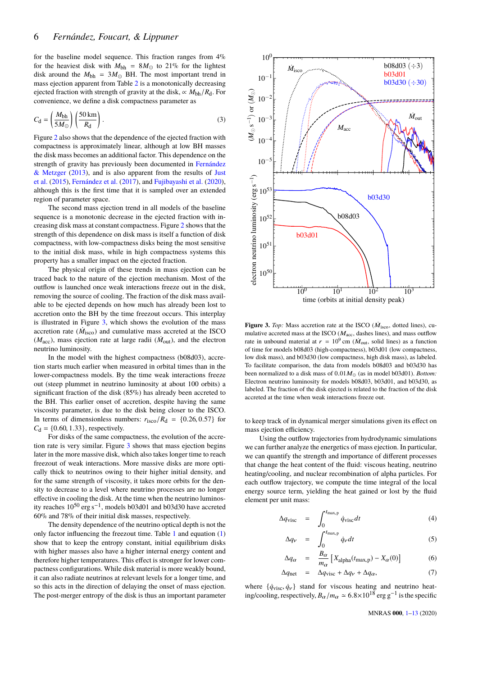for the baseline model sequence. This fraction ranges from  $4\%$ for the heaviest disk with  $M_{\text{bh}} = 8M_{\odot}$  to 21% for the lightest disk around the  $M_{bh} = 3M_{\odot}$  BH. The most important trend in mass ejection apparent from Table [2](#page-4-0) is a monotonically decreasing ejected fraction with strength of gravity at the disk,  $\propto M_{\rm bh}/R_{\rm d}$ . For convenience, we define a disk compactness parameter as

$$
C_{\rm d} = \left(\frac{M_{\rm bh}}{5M_{\odot}}\right) \left(\frac{50\,\mathrm{km}}{R_{\rm d}}\right). \tag{3}
$$

Figure [2](#page-4-1) also shows that the dependence of the ejected fraction with compactness is approximately linear, although at low BH masses the disk mass becomes an additional factor. This dependence on the strength of gravity has previously been documented in [Fernández](#page-12-17) [& Metzger](#page-12-17) [\(2013\)](#page-12-17), and is also apparent from the results of [Just](#page-12-18) [et al.](#page-12-18) [\(2015\)](#page-12-18), [Fernández et al.](#page-12-42) [\(2017\)](#page-12-42), and [Fujibayashi et al.](#page-12-20) [\(2020\)](#page-12-20), although this is the first time that it is sampled over an extended region of parameter space.

The second mass ejection trend in all models of the baseline sequence is a monotonic decrease in the ejected fraction with increasing disk mass at constant compactness. Figure [2](#page-4-1) shows that the strength of this dependence on disk mass is itself a function of disk compactness, with low-compactness disks being the most sensitive to the initial disk mass, while in high compactness systems this property has a smaller impact on the ejected fraction.

The physical origin of these trends in mass ejection can be traced back to the nature of the ejection mechanism. Most of the outflow is launched once weak interactions freeze out in the disk, removing the source of cooling. The fraction of the disk mass available to be ejected depends on how much has already been lost to accretion onto the BH by the time freezout occurs. This interplay is illustrated in Figure [3,](#page-5-1) which shows the evolution of the mass accretion rate  $(\dot{M}_{\rm isco})$  and cumulative mass accreted at the ISCO  $(M<sub>acc</sub>)$ , mass ejection rate at large radii  $(M<sub>out</sub>)$ , and the electron neutrino luminosity.

In the model with the highest compactness (b08d03), accretion starts much earlier when measured in orbital times than in the lower-compactness models. By the time weak interactions freeze out (steep plummet in neutrino luminosity at about 100 orbits) a significant fraction of the disk (85%) has already been accreted to the BH. This earlier onset of accretion, despite having the same viscosity parameter, is due to the disk being closer to the ISCO. In terms of dimensionless numbers:  $r_{\rm isco}/R_{\rm d} = \{0.26, 0.57\}$  for  $C_d = \{0.60, 1.33\}$ , respectively.

For disks of the same compactness, the evolution of the accretion rate is very similar. Figure [3](#page-5-1) shows that mass ejection begins later in the more massive disk, which also takes longer time to reach freezout of weak interactions. More massive disks are more optically thick to neutrinos owing to their higher initial density, and for the same strength of viscosity, it takes more orbits for the density to decrease to a level where neutrino processes are no longer effective in cooling the disk. At the time when the neutrino luminosity reaches 10<sup>50</sup> erg s−<sup>1</sup> , models b03d01 and b03d30 have accreted 60% and 78% of their initial disk masses, respectively.

The density dependence of the neutrino optical depth is not the only factor influencing the freezout time. Table [1](#page-3-1) and equation [\(1\)](#page-3-3) show that to keep the entropy constant, initial equilibrium disks with higher masses also have a higher internal energy content and therefore higher temperatures. This effect is stronger for lower compactness configurations. While disk material is more weakly bound, it can also radiate neutrinos at relevant levels for a longer time, and so this acts in the direction of delaying the onset of mass ejection. The post-merger entropy of the disk is thus an important parameter

<span id="page-5-0"></span>

<span id="page-5-1"></span>**Figure 3.** *Top*: Mass accretion rate at the ISCO ( $\dot{M}_{\text{isco}}$ , dotted lines), cumulative accreted mass at the ISCO ( $M<sub>acc</sub>$ , dashes lines), and mass outflow rate in unbound material at  $r = 10^9$  cm ( $\dot{M}_{\text{out}}$ , solid lines) as a function of time for models b08d03 (high-compactness), b03d01 (low compactness, low disk mass), and b03d30 (low compactness, high disk mass), as labeled. To facilitate comparison, the data from models b08d03 and b03d30 has been normalized to a disk mass of  $0.01M_{\odot}$  (as in model b03d01). *Bottom:* Electron neutrino luminosity for models b08d03, b03d01, and b03d30, as labeled. The fraction of the disk ejected is related to the fraction of the disk accreted at the time when weak interactions freeze out.

to keep track of in dynamical merger simulations given its effect on mass ejection efficiency.

Using the outflow trajectories from hydrodynamic simulations we can further analyze the energetics of mass ejection. In particular, we can quantify the strength and importance of different processes that change the heat content of the fluid: viscous heating, neutrino heating/cooling, and nuclear recombination of alpha particles. For each outflow trajectory, we compute the time integral of the local energy source term, yielding the heat gained or lost by the fluid element per unit mass:

<span id="page-5-2"></span>
$$
\Delta q_{\rm visc} = \int_0^{t_{\rm max,p}} \dot{q}_{\rm visc} dt \tag{4}
$$

$$
\Delta q_{\nu} = \int_0^{t_{\text{max,p}}} \dot{q}_{\nu} dt \tag{5}
$$

$$
\Delta q_{\alpha} = \frac{B_{\alpha}}{m_{\alpha}} \left[ X_{\text{alpha}}(t_{\text{max,p}}) - X_{\alpha}(0) \right] \tag{6}
$$

$$
\Delta q_{\text{net}} = \Delta q_{\text{visc}} + \Delta q_{\nu} + \Delta q_{\alpha}, \tag{7}
$$

where  $\{\dot{q}_{\text{visc}}, \dot{q}_{\text{v}}\}$  stand for viscous heating and neutrino heating/cooling, respectively,  $B_{\alpha}/m_{\alpha} \simeq 6.8 \times 10^{18} \text{ erg g}^{-1}$  is the specific

MNRAS **000**, [1](#page-0-0)[–13](#page-10-0) (2020)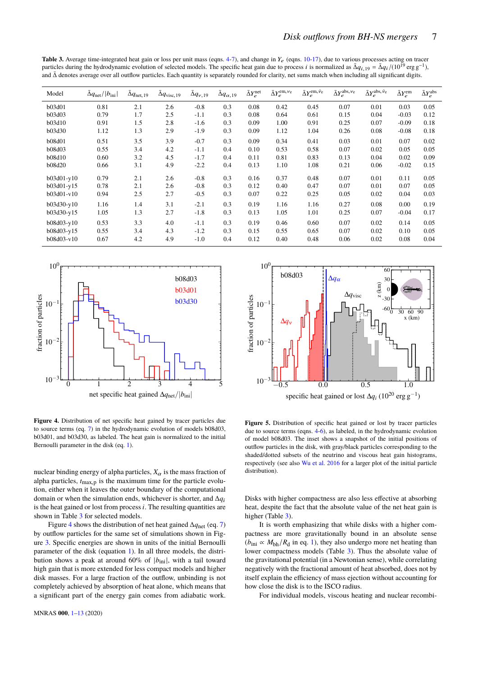<span id="page-6-0"></span>**Table 3.** Average time-integrated heat gain or loss per unit mass (eqns. [4-7\)](#page-5-2), and change in  $Y_e$  (eqns. [10](#page-8-0)[-17\)](#page-8-1), due to various processes acting on tracer particles during the hydrodynamic evolution of selected models. The specific heat gain due to process *i* is normalized as  $\bar{\Delta}q_{i,19} = \bar{\Delta}q_i/(10^{19} \text{ erg g}^{-1})$ , and  $\bar{\Delta}$  denotes suggestive particles. Each quantity is and ∆¯ denotes average over all outflow particles. Each quantity is separately rounded for clarity, net sums match when including all significant digits.

| Model         | $\Delta q_{\rm net}/ b_{\rm ini} $ | $\bar{\Delta}q_{\rm net,19}$ | $\Delta q_{\text{visc}, 19}$ | $\bar{\Delta} q_{\nu,19}$ | $\Delta q_{\alpha,19}$ | $\bar{\Delta}Y_e^{\text{net}}$ | $\bar{\Delta}Y_e^{\rm em,\nu_e}$ | $\bar{\Delta}Y_e^{\rm em,\bar{\nu}_e}$ | $\bar{\Delta}Y_e^{\text{abs},\nu_{\text{e}}}$ | $\bar{\Delta}Y_e^{\mathrm{abs},\,\bar{\nu}_\mathrm{e}}$ | $\bar{\Delta}Y_e^{\rm em}$ | $\bar{\Delta}Y_e^{\rm abs}$ |
|---------------|------------------------------------|------------------------------|------------------------------|---------------------------|------------------------|--------------------------------|----------------------------------|----------------------------------------|-----------------------------------------------|---------------------------------------------------------|----------------------------|-----------------------------|
| b03d01        | 0.81                               | 2.1                          | 2.6                          | $-0.8$                    | 0.3                    | 0.08                           | 0.42                             | 0.45                                   | 0.07                                          | 0.01                                                    | 0.03                       | 0.05                        |
| <b>b03d03</b> | 0.79                               | 1.7                          | 2.5                          | $-1.1$                    | 0.3                    | 0.08                           | 0.64                             | 0.61                                   | 0.15                                          | 0.04                                                    | $-0.03$                    | 0.12                        |
| b03d10        | 0.91                               | 1.5                          | 2.8                          | $-1.6$                    | 0.3                    | 0.09                           | 1.00                             | 0.91                                   | 0.25                                          | 0.07                                                    | $-0.09$                    | 0.18                        |
| b03d30        | 1.12                               | 1.3                          | 2.9                          | $-1.9$                    | 0.3                    | 0.09                           | 1.12                             | 1.04                                   | 0.26                                          | 0.08                                                    | $-0.08$                    | 0.18                        |
| <b>b08d01</b> | 0.51                               | 3.5                          | 3.9                          | $-0.7$                    | 0.3                    | 0.09                           | 0.34                             | 0.41                                   | 0.03                                          | 0.01                                                    | 0.07                       | 0.02                        |
| <b>b08d03</b> | 0.55                               | 3.4                          | 4.2                          | $-1.1$                    | 0.4                    | 0.10                           | 0.53                             | 0.58                                   | 0.07                                          | 0.02                                                    | 0.05                       | 0.05                        |
| b08d10        | 0.60                               | 3.2                          | 4.5                          | $-1.7$                    | 0.4                    | 0.11                           | 0.81                             | 0.83                                   | 0.13                                          | 0.04                                                    | 0.02                       | 0.09                        |
| <b>b08d20</b> | 0.66                               | 3.1                          | 4.9                          | $-2.2$                    | 0.4                    | 0.13                           | 1.10                             | 1.08                                   | 0.21                                          | 0.06                                                    | $-0.02$                    | 0.15                        |
| $b03d01-v10$  | 0.79                               | 2.1                          | 2.6                          | $-0.8$                    | 0.3                    | 0.16                           | 0.37                             | 0.48                                   | 0.07                                          | 0.01                                                    | 0.11                       | 0.05                        |
| $b03d01-y15$  | 0.78                               | 2.1                          | 2.6                          | $-0.8$                    | 0.3                    | 0.12                           | 0.40                             | 0.47                                   | 0.07                                          | 0.01                                                    | 0.07                       | 0.05                        |
| $b03d01-v10$  | 0.94                               | 2.5                          | 2.7                          | $-0.5$                    | 0.3                    | 0.07                           | 0.22                             | 0.25                                   | 0.05                                          | 0.02                                                    | 0.04                       | 0.03                        |
| b03d30-y10    | 1.16                               | 1.4                          | 3.1                          | $-2.1$                    | 0.3                    | 0.19                           | 1.16                             | 1.16                                   | 0.27                                          | 0.08                                                    | 0.00                       | 0.19                        |
| $b03d30-y15$  | 1.05                               | 1.3                          | 2.7                          | $-1.8$                    | 0.3                    | 0.13                           | 1.05                             | 1.01                                   | 0.25                                          | 0.07                                                    | $-0.04$                    | 0.17                        |
| b08d03-y10    | 0.53                               | 3.3                          | 4.0                          | $-1.1$                    | 0.3                    | 0.19                           | 0.46                             | 0.60                                   | 0.07                                          | 0.02                                                    | 0.14                       | 0.05                        |
| $b08d03-y15$  | 0.55                               | 3.4                          | 4.3                          | $-1.2$                    | 0.3                    | 0.15                           | 0.55                             | 0.65                                   | 0.07                                          | 0.02                                                    | 0.10                       | 0.05                        |
| $b08d03-v10$  | 0.67                               | 4.2                          | 4.9                          | $-1.0$                    | 0.4                    | 0.12                           | 0.40                             | 0.48                                   | 0.06                                          | 0.02                                                    | 0.08                       | 0.04                        |



<span id="page-6-1"></span>**Figure 4.** Distribution of net specific heat gained by tracer particles due to source terms (eq. [7\)](#page-5-2) in the hydrodynamic evolution of models b08d03, b03d01, and b03d30, as labeled. The heat gain is normalized to the initial Bernoulli parameter in the disk (eq. [1\)](#page-3-3).

nuclear binding energy of alpha particles,  $X_{\alpha}$  is the mass fraction of alpha particles, *<sup>t</sup>*max,<sup>p</sup> is the maximum time for the particle evolution, either when it leaves the outer boundary of the computational domain or when the simulation ends, whichever is shorter, and ∆*q*<sup>i</sup> is the heat gained or lost from process*i*. The resulting quantities are shown in Table [3](#page-6-0) for selected models.

Figure [4](#page-6-1) shows the distribution of net heat gained ∆*q*net (eq. [7\)](#page-5-2) by outflow particles for the same set of simulations shown in Figure [3.](#page-5-1) Specific energies are shown in units of the initial Bernoulli parameter of the disk (equation [1\)](#page-3-3). In all three models, the distribution shows a peak at around 60% of  $|b_{\text{ini}}|$ , with a tail toward high gain that is more extended for less compact models and higher disk masses. For a large fraction of the outflow, unbinding is not completely achieved by absorption of heat alone, which means that a significant part of the energy gain comes from adiabatic work.



<span id="page-6-2"></span>**Figure 5.** Distribution of specific heat gained or lost by tracer particles due to source terms (eqns. [4-6\)](#page-5-2), as labeled, in the hydrodynamic evolution of model b08d03. The inset shows a snapshot of the initial positions of outflow particles in the disk, with gray/black particles corresponding to the shaded/dotted subsets of the neutrino and viscous heat gain histograms, respectively (see also [Wu et al.](#page-12-61) [2016](#page-12-61) for a larger plot of the initial particle distribution).

Disks with higher compactness are also less effective at absorbing heat, despite the fact that the absolute value of the net heat gain is higher (Table [3\)](#page-6-0).

It is worth emphasizing that while disks with a higher compactness are more gravitationally bound in an absolute sense  $(b_{\text{ini}} \propto M_{\text{bh}}/R_{\text{d}}$  in eq. [1\)](#page-3-3), they also undergo more net heating than lower compactness models (Table [3\)](#page-6-0). Thus the absolute value of the gravitational potential (in a Newtonian sense), while correlating negatively with the fractional amount of heat absorbed, does not by itself explain the efficiency of mass ejection without accounting for how close the disk is to the ISCO radius.

For individual models, viscous heating and nuclear recombi-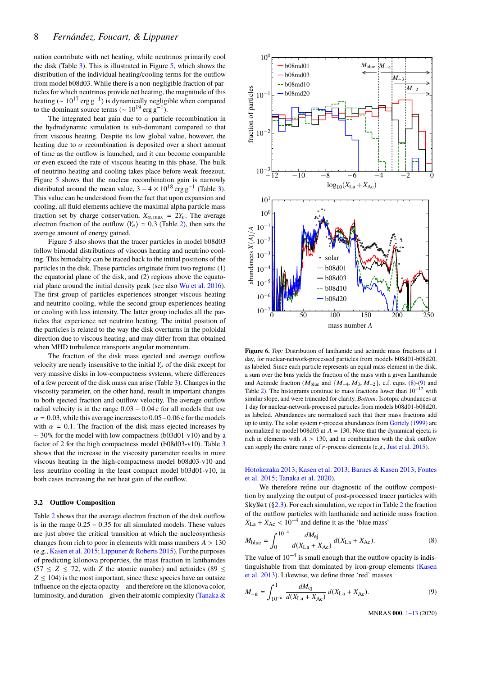nation contribute with net heating, while neutrinos primarily cool the disk (Table [3\)](#page-6-0). This is illustrated in Figure [5,](#page-6-2) which shows the distribution of the individual heating/cooling terms for the outflow from model b08d03. While there is a non-negligible fraction of particles for which neutrinos provide net heating, the magnitude of this heating ( $\sim 10^{17}$  erg g<sup>-1</sup>) is dynamically negligible when compared to the dominant source terms ( $\sim 10^{19}$  erg g<sup>-1</sup>).

The integrated heat gain due to  $\alpha$  particle recombination in the hydrodynamic simulation is sub-dominant compared to that from viscous heating. Despite its low global value, however, the heating due to  $\alpha$  recombination is deposited over a short amount of time as the outflow is launched, and it can become comparable or even exceed the rate of viscous heating in this phase. The bulk of neutrino heating and cooling takes place before weak freezout. Figure [5](#page-6-2) shows that the nuclear recombination gain is narrowly distributed around the mean value,  $3 - 4 \times 10^{18}$  erg g<sup>-1</sup> (Table [3\)](#page-6-0). This value can be understood from the fact that upon expansion and cooling, all fluid elements achieve the maximal alpha particle mass fraction set by charge conservation,  $X_{\alpha, \text{max}} = 2Y_e$ . The average electron fraction of the outflow  $\langle Y_e \rangle \simeq 0.3$  (Table [2\)](#page-4-0), then sets the average amount of energy gained.

Figure [5](#page-6-2) also shows that the tracer particles in model b08d03 follow bimodal distributions of viscous heating and neutrino cooling. This bimodality can be traced back to the initial positions of the particles in the disk. These particles originate from two regions: (1) the equatorial plane of the disk, and (2) regions above the equatorial plane around the initial density peak (see also [Wu et al.](#page-12-61) [2016\)](#page-12-61). The first group of particles experiences stronger viscous heating and neutrino cooling, while the second group experiences heating or cooling with less intensity. The latter group includes all the particles that experience net neutrino heating. The initial position of the particles is related to the way the disk overturns in the poloidal direction due to viscous heating, and may differ from that obtained when MHD turbulence transports angular momentum.

The fraction of the disk mass ejected and average outflow velocity are nearly insensitive to the initial  $Y_e$  of the disk except for very massive disks in low-compactness systems, where differences of a few percent of the disk mass can arise (Table [3\)](#page-6-0). Changes in the viscosity parameter, on the other hand, result in important changes to both ejected fraction and outflow velocity. The average outflow radial velocity is in the range  $0.03 - 0.04$  c for all models that use  $\alpha = 0.03$ , while this average increases to 0.05 – 0.06 c for the models with  $\alpha = 0.1$ . The fraction of the disk mass ejected increases by  $~\sim$  30% for the model with low compactness (b03d01-v10) and by a factor of 2 for the high compactness model (b08d03-v10). Table [3](#page-6-0) shows that the increase in the viscosity parameter results in more viscous heating in the high-compactness model b08d03-v10 and less neutrino cooling in the least compact model b03d01-v10, in both cases increasing the net heat gain of the outflow.

#### **3.2 Outflow Composition**

Table [2](#page-4-0) shows that the average electron fraction of the disk outflow is in the range  $0.25 - 0.35$  for all simulated models. These values are just above the critical transition at which the nucleosynthesis changes from rich to poor in elements with mass numbers  $A > 130$ (e.g., [Kasen et al.](#page-12-62) [2015;](#page-12-62) [Lippuner & Roberts](#page-12-63) [2015\)](#page-12-63). For the purposes of predicting kilonova properties, the mass fraction in lanthanides  $(57 \le Z \le 72$ , with *Z* the atomic number) and actinides (89  $\le$  $Z \leq 104$ ) is the most important, since these species have an outsize influence on the ejecta opacity – and therefore on the kilonova color, luminosity, and duration – given their atomic complexity (Tanaka  $\&$ 



<span id="page-7-2"></span>**Figure 6.** *Top:* Distribution of lanthanide and actinide mass fractions at 1 day, for nuclear-network-processed particles from models b08d01-b08d20, as labeled. Since each particle represents an equal mass element in the disk, a sum over the bins yields the fraction of the mass with a given Lanthanide and Actinide fraction ( $M_{\text{blue}}$  and  $\{M_{-4}, M_3, M_{-2}\}\$ , c.f. eqns. [\(8\)](#page-7-0)-[\(9\)](#page-7-1) and Table [2\)](#page-4-0). The histograms continue to mass fractions lower than  $10^{-12}$  with similar slope, and were truncated for clarity. *Bottom:* Isotopic abundances at 1 day for nuclear-network-processed particles from models b08d01-b08d20, as labeled. Abundances are normalized such that their mass fractions add up to unity. The solar system  $r$ -process abundances from [Goriely](#page-12-65) [\(1999\)](#page-12-65) are normalized to model b08d03 at  $A = 130$ . Note that the dynamical ejecta is rich in elements with  $A > 130$ , and in combination with the disk outflow can supply the entire range of r-process elements (e.g., [Just et al.](#page-12-18) [2015\)](#page-12-18).

### [Hotokezaka](#page-12-64) [2013;](#page-12-64) [Kasen et al.](#page-12-66) [2013;](#page-12-66) [Barnes & Kasen](#page-12-67) [2013;](#page-12-67) [Fontes](#page-12-68) [et al.](#page-12-68) [2015;](#page-12-68) [Tanaka et al.](#page-12-69) [2020\)](#page-12-69).

We therefore refine our diagnostic of the outflow composition by analyzing the output of post-processed tracer particles with SkyNet ([§2.3\)](#page-2-2). For each simulation, we report in Table [2](#page-4-0) the fraction of the outflow particles with lanthanide and actinide mass fraction  $X_{\text{La}} + X_{\text{Ac}} < 10^{-4}$  and define it as the 'blue mass'

$$
M_{\text{blue}} = \int_0^{10^{-4}} \frac{dM_{\text{ej}}}{d(X_{\text{La}} + X_{\text{Ac}})} d(X_{\text{La}} + X_{\text{Ac}}).
$$
 (8)

The value of  $10^{-4}$  is small enough that the outflow opacity is indistinguishable from that dominated by iron-group elements [\(Kasen](#page-12-66) [et al.](#page-12-66) [2013\)](#page-12-66). Likewise, we define three 'red' masses

$$
M_{-k} = \int_{10^{-k}}^{1} \frac{dM_{\rm ej}}{d(X_{\rm La} + X_{\rm Ac})} d(X_{\rm La} + X_{\rm Ac}).
$$
 (9)

<span id="page-7-1"></span><span id="page-7-0"></span>MNRAS **000**, [1](#page-0-0)[–13](#page-10-0) (2020)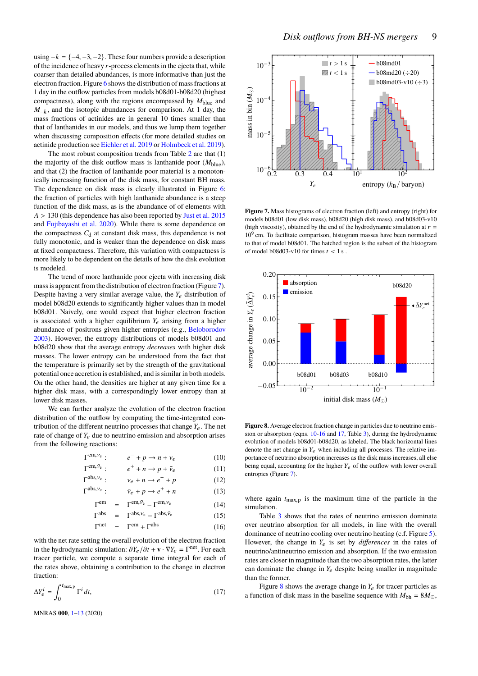using  $-k = \{-4, -3, -2\}$ . These four numbers provide a description of the incidence of heavy *r*-process elements in the ejecta that, while coarser than detailed abundances, is more informative than just the electron fraction. Figure [6](#page-7-2) shows the distribution of mass fractions at 1 day in the outflow particles from models b08d01-b08d20 (highest compactness), along with the regions encompassed by  $M_{blue}$  and *M*<sub>−k</sub>, and the isotopic abundances for comparison. At 1 day, the mass fractions of actinides are in general 10 times smaller than that of lanthanides in our models, and thus we lump them together when discussing composition effects (for more detailed studies on actinide production see [Eichler et al.](#page-12-70) [2019](#page-12-70) or [Holmbeck et al.](#page-12-71) [2019\)](#page-12-71).

The most robust composition trends from Table [2](#page-4-0) are that (1) the majority of the disk outflow mass is lanthanide poor  $(M_{\text{blue}})$ , and that (2) the fraction of lanthanide poor material is a monotonically increasing function of the disk mass, for constant BH mass. The dependence on disk mass is clearly illustrated in Figure [6:](#page-7-2) the fraction of particles with high lanthanide abundance is a steep function of the disk mass, as is the abundance of of elements with *<sup>A</sup>* > <sup>130</sup> (this dependence has also been reported by [Just et al.](#page-12-18) [2015](#page-12-18) and [Fujibayashi et al.](#page-12-20) [2020\)](#page-12-20). While there is some dependence on the compactness  $C<sub>d</sub>$  at constant disk mass, this dependence is not fully monotonic, and is weaker than the dependence on disk mass at fixed compactness. Therefore, this variation with compactness is more likely to be dependent on the details of how the disk evolution is modeled.

The trend of more lanthanide poor ejecta with increasing disk mass is apparent from the distribution of electron fraction (Figure [7\)](#page-8-2). Despite having a very similar average value, the  $Y_e$  distribution of model b08d20 extends to significantly higher values than in model b08d01. Naively, one would expect that higher electron fraction is associated with a higher equilibrium  $Y_e$  arising from a higher abundance of positrons given higher entropies (e.g., [Beloborodov](#page-12-72) [2003\)](#page-12-72). However, the entropy distributions of models b08d01 and b08d20 show that the average entropy *decreases* with higher disk masses. The lower entropy can be understood from the fact that the temperature is primarily set by the strength of the gravitational potential once accretion is established, and is similar in both models. On the other hand, the densities are higher at any given time for a higher disk mass, with a correspondingly lower entropy than at lower disk masses.

We can further analyze the evolution of the electron fraction distribution of the outflow by computing the time-integrated contribution of the different neutrino processes that change  $Y_e$ . The net rate of change of  $Y_e$  due to neutrino emission and absorption arises from the following reactions:

<span id="page-8-0"></span>
$$
\Gamma^{em, \nu_e}: \qquad e^- + p \to n + \nu_e \tag{10}
$$

$$
\Gamma^{\text{em}, \bar{\nu}_e} : \qquad e^+ + n \to p + \bar{\nu}_e \tag{11}
$$

$$
\Gamma^{abs, \nu_e}: \qquad \nu_e + n \to e^- + p \tag{12}
$$

$$
\Gamma^{abs, \bar{\nu}_e} : \qquad \bar{\nu}_e + p \to e^+ + n \tag{13}
$$

$$
\Gamma^{\text{em}} = \Gamma^{\text{em}, \bar{\nu}_e} - \Gamma^{\text{em}, \nu_e} \tag{14}
$$

$$
\Gamma^{abs} = \Gamma^{abs, \nu_e} - \Gamma^{abs, \bar{\nu}_e} \tag{15}
$$

$$
\Gamma^{\text{net}} = \Gamma^{\text{em}} + \Gamma^{\text{abs}} \tag{16}
$$

with the net rate setting the overall evolution of the electron fraction in the hydrodynamic simulation:  $\partial Y_e / \partial t + \mathbf{v} \cdot \nabla Y_e = \Gamma^{net}$ . For each of tracer particle, we compute a separate time integral for each of the rates above, obtaining a contribution to the change in electron fraction:

<span id="page-8-1"></span>
$$
\Delta Y_e^i = \int_0^{t_{\text{max,p}}} \Gamma^i dt,\tag{17}
$$

MNRAS **000**, [1](#page-0-0)[–13](#page-10-0) (2020)



<span id="page-8-2"></span>**Figure 7.** Mass histograms of electron fraction (left) and entropy (right) for models b08d01 (low disk mass), b08d20 (high disk mass), and b08d03-v10 (high viscosity), obtained by the end of the hydrodynamic simulation at  $r =$ 10<sup>9</sup> cm. To facilitate comparison, histogram masses have been normalized to that of model b08d01. The hatched region is the subset of the histogram of model b08d03-v10 for times  $t < 1$  s.



<span id="page-8-3"></span>**Figure 8.** Average electron fraction change in particles due to neutrino emission or absorption (eqns. [10-16](#page-8-0) and [17,](#page-8-1) Table [3\)](#page-6-0), during the hydrodynamic evolution of models b08d01-b08d20, as labeled. The black horizontal lines denote the net change in  $Y_e$  when including all processes. The relative importance of neutrino absorption increases as the disk mass increases, all else being equal, accounting for the higher  $Y_e$  of the outflow with lower overall entropies (Figure [7\)](#page-8-2).

where again  $t_{\text{max,p}}$  is the maximum time of the particle in the simulation.

Table [3](#page-6-0) shows that the rates of neutrino emission dominate over neutrino absorption for all models, in line with the overall dominance of neutrino cooling over neutrino heating (c.f. Figure [5\)](#page-6-2). However, the change in  $Y_e$  is set by *differences* in the rates of neutrino/antineutrino emission and absorption. If the two emission rates are closer in magnitude than the two absorption rates, the latter can dominate the change in  $Y_e$  despite being smaller in magnitude than the former.

Figure [8](#page-8-3) shows the average change in  $Y_e$  for tracer particles as a function of disk mass in the baseline sequence with  $M_{bh} = 8M_{\odot}$ ,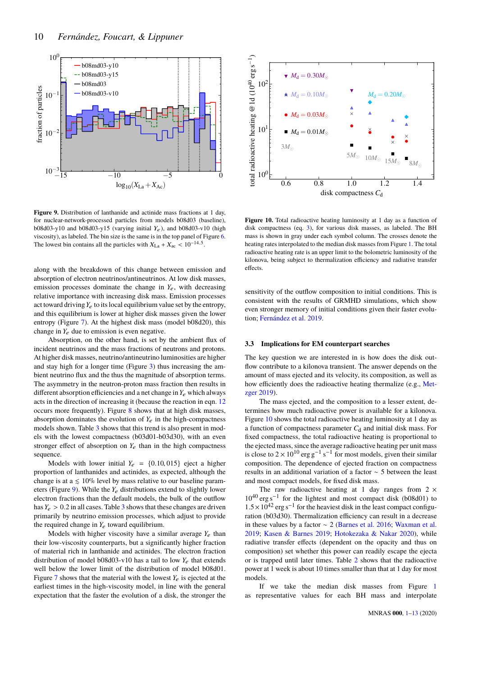

<span id="page-9-0"></span>**Figure 9.** Distribution of lanthanide and actinide mass fractions at 1 day, for nuclear-network-processed particles from models b08d03 (baseline), b08d03-y10 and b08d03-y15 (varying initial  $Y_e$ ), and b08d03-v10 (high viscosity), as labeled. The bin size is the same is in the top panel of Figure [6.](#page-7-2) The lowest bin contains all the particles with  $X_{\text{La}} + X_{\text{ac}} < 10^{-14.5}$ .

along with the breakdown of this change between emission and absorption of electron neutrinos/antineutrinos. At low disk masses, emission processes dominate the change in  $Y_e$ , with decreasing relative importance with increasing disk mass. Emission processes act toward driving  $Y_e$  to its local equilibrium value set by the entropy, and this equilibrium is lower at higher disk masses given the lower entropy (Figure [7\)](#page-8-2). At the highest disk mass (model b08d20), this change in  $Y_e$  due to emission is even negative.

Absorption, on the other hand, is set by the ambient flux of incident neutrinos and the mass fractions of neutrons and protons. At higher disk masses, neutrino/antineutrino luminosities are higher and stay high for a longer time (Figure [3\)](#page-5-1) thus increasing the ambient neutrino flux and the thus the magnitude of absorption terms. The asymmetry in the neutron-proton mass fraction then results in different absorption efficiencies and a net change in  $Y_e$  which always acts in the direction of increasing it (because the reaction in eqn. [12](#page-8-0) occurs more frequently). Figure [8](#page-8-3) shows that at high disk masses, absorption dominates the evolution of  $Y_e$  in the high-compactness models shown. Table [3](#page-6-0) shows that this trend is also present in models with the lowest compactness (b03d01-b03d30), with an even stronger effect of absorption on  $Y_e$  than in the high compactness sequence.

Models with lower initial  $Y_e = \{0.10, 015\}$  eject a higher proportion of lanthanides and actinides, as expected, although the change is at a  $\leq 10\%$  level by mass relative to our baseline parameters (Figure [9\)](#page-9-0). While the *Y*e distributions extend to slightly lower electron fractions than the default models, the bulk of the outflow has  $Y_e > 0.2$  in all cases. Table [3](#page-6-0) shows that these changes are driven primarily by neutrino emission processes, which adjust to provide the required change in  $Y_e$  toward equilibrium.

Models with higher viscosity have a similar average  $Y_e$  than their low-viscosity counterparts, but a significantly higher fraction of material rich in lanthanide and actinides. The electron fraction distribution of model b08d03-v10 has a tail to low  $Y_e$  that extends well below the lower limit of the distribution of model b08d01. Figure [7](#page-8-2) shows that the material with the lowest  $Y_e$  is ejected at the earliest times in the high-viscosity model, in line with the general expectation that the faster the evolution of a disk, the stronger the



<span id="page-9-1"></span>**Figure 10.** Total radioactive heating luminosity at 1 day as a function of disk compactness (eq. [3\)](#page-5-0), for various disk masses, as labeled. The BH mass is shown in gray under each symbol column. The crosses denote the heating rates interpolated to the median disk masses from Figure [1.](#page-2-0) The total radioactive heating rate is an upper limit to the bolometric luminosity of the kilonova, being subject to thermalization efficiency and radiative transfer effects.

sensitivity of the outflow composition to initial conditions. This is consistent with the results of GRMHD simulations, which show even stronger memory of initial conditions given their faster evolution; [Fernández et al.](#page-12-14) [2019.](#page-12-14)

#### <span id="page-9-2"></span>**3.3 Implications for EM counterpart searches**

The key question we are interested in is how does the disk outflow contribute to a kilonova transient. The answer depends on the amount of mass ejected and its velocity, its composition, as well as how efficiently does the radioactive heating thermalize (e.g., [Met](#page-12-73)[zger](#page-12-73) [2019\)](#page-12-73).

The mass ejected, and the composition to a lesser extent, determines how much radioactive power is available for a kilonova. Figure [10](#page-9-1) shows the total radioactive heating luminosity at 1 day as a function of compactness parameter  $C<sub>d</sub>$  and initial disk mass. For fixed compactness, the total radioactive heating is proportional to the ejected mass, since the average radioactive heating per unit mass is close to  $2 \times 10^{10}$  erg g<sup>-1</sup> s<sup>-1</sup> for most models, given their similar composition. The dependence of ejected fraction on compactness results in an additional variation of a factor ∼ 5 between the least and most compact models, for fixed disk mass.

The raw radioactive heating at 1 day ranges from  $2 \times$ 10<sup>40</sup> erg s<sup>-1</sup> for the lightest and most compact disk (b08d01) to  $1.5 \times 10^{42}$  erg s<sup>-1</sup> for the heaviest disk in the least compact configuration (b03d30). Thermalization efficiency can result in a decrease ration (b03d30). Thermalization efficiency can result in a decrease in these values by a factor ∼ 2 [\(Barnes et al.](#page-12-74) [2016;](#page-12-74) [Waxman et al.](#page-12-75) [2019;](#page-12-75) [Kasen & Barnes](#page-12-76) [2019;](#page-12-76) [Hotokezaka & Nakar](#page-12-77) [2020\)](#page-12-77), while radiative transfer effects (dependent on the opacity and thus on composition) set whether this power can readily escape the ejecta or is trapped until later times. Table [2](#page-4-0) shows that the radioactive power at 1 week is about 10 times smaller than that at 1 day for most models.

If we take the median disk masses from Figure [1](#page-2-0) as representative values for each BH mass and interpolate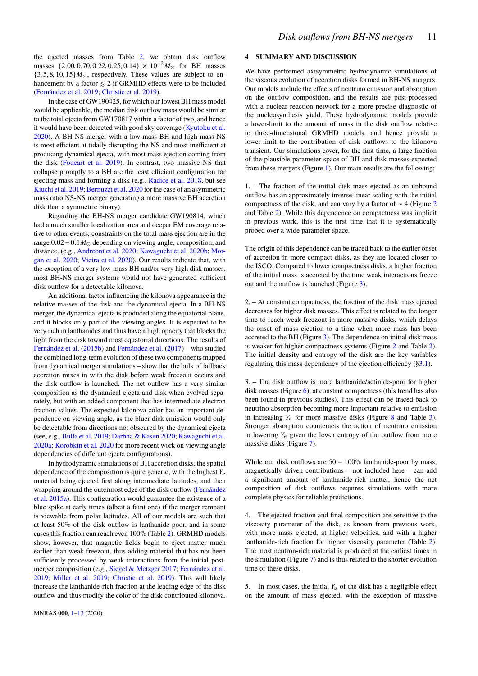the ejected masses from Table [2,](#page-4-0) we obtain disk outflow masses {2.00, 0.70, 0.22, 0.25, 0.14} × 10<sup>-2</sup> $M_{\odot}$  for BH masses  ${3, 5, 8, 10, 15}$ *M*<sub> $\odot$ </sub>, respectively. These values are subject to enhancement by a factor  $\leq 2$  if GRMHD effects were to be included [\(Fernández et al.](#page-12-14) [2019;](#page-12-14) [Christie et al.](#page-12-16) [2019\)](#page-12-16).

In the case of GW190425, for which our lowest BH mass model would be applicable, the median disk outflow mass would be similar to the total ejecta from GW170817 within a factor of two, and hence it would have been detected with good sky coverage [\(Kyutoku et al.](#page-12-78) [2020\)](#page-12-78). A BH-NS merger with a low-mass BH and high-mass NS is most efficient at tidally disrupting the NS and most inefficient at producing dynamical ejecta, with most mass ejection coming from the disk [\(Foucart et al.](#page-12-79) [2019\)](#page-12-79). In contrast, two massive NS that collapse promptly to a BH are the least efficient configuration for ejecting mass and forming a disk (e.g., [Radice et al.](#page-12-80) [2018,](#page-12-80) but see [Kiuchi et al.](#page-12-81) [2019;](#page-12-81) [Bernuzzi et al.](#page-12-82) [2020](#page-12-82) for the case of an asymmetric mass ratio NS-NS merger generating a more massive BH accretion disk than a symmetric binary).

Regarding the BH-NS merger candidate GW190814, which had a much smaller localization area and deeper EM coverage relative to other events, constraints on the total mass ejection are in the range  $0.02 - 0.1 M_{\odot}$  depending on viewing angle, composition, and distance. (e.g., [Andreoni et al.](#page-11-4) [2020;](#page-11-4) [Kawaguchi et al.](#page-12-83) [2020b;](#page-12-83) [Mor](#page-12-84)[gan et al.](#page-12-84) [2020;](#page-12-84) [Vieira et al.](#page-12-2) [2020\)](#page-12-2). Our results indicate that, with the exception of a very low-mass BH and/or very high disk masses, most BH-NS merger systems would not have generated sufficient disk outflow for a detectable kilonova.

An additional factor influencing the kilonova appearance is the relative masses of the disk and the dynamical ejecta. In a BH-NS merger, the dynamical ejecta is produced along the equatorial plane. and it blocks only part of the viewing angles. It is expected to be very rich in lanthanides and thus have a high opacity that blocks the light from the disk toward most equatorial directions. The results of [Fernández et al.](#page-12-85) [\(2015b\)](#page-12-85) and [Fernández et al.](#page-12-42) [\(2017\)](#page-12-42) – who studied the combined long-term evolution of these two components mapped from dynamical merger simulations – show that the bulk of fallback accretion mixes in with the disk before weak freezout occurs and the disk outflow is launched. The net outflow has a very similar composition as the dynamical ejecta and disk when evolved separately, but with an added component that has intermediate electron fraction values. The expected kilonova color has an important dependence on viewing angle, as the bluer disk emission would only be detectable from directions not obscured by the dynamical ejecta (see, e.g., [Bulla et al.](#page-12-86) [2019;](#page-12-86) [Darbha & Kasen](#page-12-87) [2020;](#page-12-87) [Kawaguchi et al.](#page-12-88) [2020a;](#page-12-88) [Korobkin et al.](#page-12-89) [2020](#page-12-89) for more recent work on viewing angle dependencies of different ejecta configurations).

In hydrodynamic simulations of BH accretion disks, the spatial dependence of the composition is quite generic, with the highest *Y*e material being ejected first along intermediate latitudes, and then wrapping around the outermost edge of the disk outflow [\(Fernández](#page-12-19) [et al.](#page-12-19) [2015a\)](#page-12-19). This configuration would guarantee the existence of a blue spike at early times (albeit a faint one) if the merger remnant is viewable from polar latitudes. All of our models are such that at least 50% of the disk outflow is lanthanide-poor, and in some cases this fraction can reach even 100% (Table [2\)](#page-4-0). GRMHD models show, however, that magnetic fields begin to eject matter much earlier than weak freezout, thus adding material that has not been sufficiently processed by weak interactions from the initial postmerger composition (e.g., [Siegel & Metzger](#page-12-11) [2017;](#page-12-11) [Fernández et al.](#page-12-14) [2019;](#page-12-14) [Miller et al.](#page-12-15) [2019;](#page-12-15) [Christie et al.](#page-12-16) [2019\)](#page-12-16). This will likely increase the lanthanide-rich fraction at the leading edge of the disk outflow and thus modify the color of the disk-contributed kilonova.

## <span id="page-10-0"></span>**4 SUMMARY AND DISCUSSION**

We have performed axisymmetric hydrodynamic simulations of the viscous evolution of accretion disks formed in BH-NS mergers. Our models include the effects of neutrino emission and absorption on the outflow composition, and the results are post-processed with a nuclear reaction network for a more precise diagnostic of the nucleosynthesis yield. These hydrodynamic models provide a lower-limit to the amount of mass in the disk outflow relative to three-dimensional GRMHD models, and hence provide a lower-limit to the contribution of disk outflows to the kilonova transient. Our simulations cover, for the first time, a large fraction of the plausible parameter space of BH and disk masses expected from these mergers (Figure [1\)](#page-2-0). Our main results are the following:

1. – The fraction of the initial disk mass ejected as an unbound outflow has an approximately inverse linear scaling with the initial compactness of the disk, and can vary by a factor of ∼ 4 (Figure [2](#page-4-1) and Table [2\)](#page-4-0). While this dependence on compactness was implicit in previous work, this is the first time that it is systematically probed over a wide parameter space.

The origin of this dependence can be traced back to the earlier onset of accretion in more compact disks, as they are located closer to the ISCO. Compared to lower compactness disks, a higher fraction of the initial mass is accreted by the time weak interactions freeze out and the outflow is launched (Figure [3\)](#page-5-1).

2. – At constant compactness, the fraction of the disk mass ejected decreases for higher disk masses. This effect is related to the longer time to reach weak freezout in more massive disks, which delays the onset of mass ejection to a time when more mass has been accreted to the BH (Figure [3\)](#page-5-1). The dependence on initial disk mass is weaker for higher compactness systems (Figure [2](#page-4-1) and Table [2\)](#page-4-0). The initial density and entropy of the disk are the key variables regulating this mass dependency of the ejection efficiency ([§3.1\)](#page-3-4).

3. – The disk outflow is more lanthanide/actinide-poor for higher disk masses (Figure [6\)](#page-7-2), at constant compactness (this trend has also been found in previous studies). This effect can be traced back to neutrino absorption becoming more important relative to emission in increasing  $Y_e$  for more massive disks (Figure [8](#page-8-3) and Table [3\)](#page-6-0). Stronger absorption counteracts the action of neutrino emission in lowering  $Y_e$  given the lower entropy of the outflow from more massive disks (Figure [7\)](#page-8-2).

While our disk outflows are  $50 - 100\%$  lanthanide-poor by mass, magnetically driven contributions – not included here – can add a significant amount of lanthanide-rich matter, hence the net composition of disk outflows requires simulations with more complete physics for reliable predictions.

4. – The ejected fraction and final composition are sensitive to the viscosity parameter of the disk, as known from previous work, with more mass ejected, at higher velocities, and with a higher lanthanide-rich fraction for higher viscosity parameter (Table [2\)](#page-4-0). The most neutron-rich material is produced at the earliest times in the simulation (Figure [7\)](#page-8-2) and is thus related to the shorter evolution time of these disks.

5. – In most cases, the initial  $Y_e$  of the disk has a negligible effect on the amount of mass ejected, with the exception of massive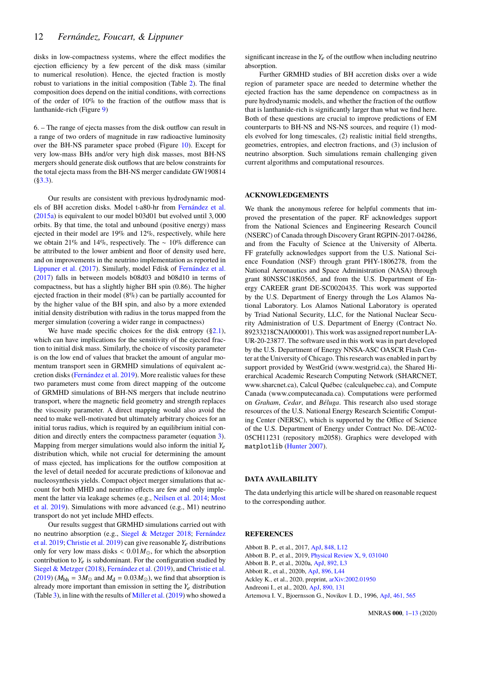disks in low-compactness systems, where the effect modifies the ejection efficiency by a few percent of the disk mass (similar to numerical resolution). Hence, the ejected fraction is mostly robust to variations in the initial composition (Table [2\)](#page-4-0). The final composition does depend on the initial conditions, with corrections of the order of 10% to the fraction of the outflow mass that is lanthanide-rich (Figure [9\)](#page-9-0)

6. – The range of ejecta masses from the disk outflow can result in a range of two orders of magnitude in raw radioactive luminosity over the BH-NS parameter space probed (Figure [10\)](#page-9-1). Except for very low-mass BHs and/or very high disk masses, most BH-NS mergers should generate disk outflows that are below constraints for the total ejecta mass from the BH-NS merger candidate GW190814 ([§3.3\)](#page-9-2).

Our results are consistent with previous hydrodynamic models of BH accretion disks. Model t-a80-hr from [Fernández et al.](#page-12-19) [\(2015a\)](#page-12-19) is equivalent to our model b03d01 but evolved until <sup>3</sup>, <sup>000</sup> orbits. By that time, the total and unbound (positive energy) mass ejected in their model are 19% and 12%, respectively, while here we obtain 21% and 14%, respectively. The ∼ 10% difference can be attributed to the lower ambient and floor of density used here, and on improvements in the neutrino implementation as reported in [Lippuner et al.](#page-12-37) [\(2017\)](#page-12-37). Similarly, model Fdisk of [Fernández et al.](#page-12-42) [\(2017\)](#page-12-42) falls in between models b08d03 and b08d10 in terms of compactness, but has a slightly higher BH spin (0.86). The higher ejected fraction in their model (8%) can be partially accounted for by the higher value of the BH spin, and also by a more extended initial density distribution with radius in the torus mapped from the merger simulation (covering a wider range in compactness)

We have made specific choices for the disk entropy  $(\S2.1)$ , which can have implications for the sensitivity of the ejected fraction to initial disk mass. Similarly, the choice of viscosity parameter is on the low end of values that bracket the amount of angular momentum transport seen in GRMHD simulations of equivalent accretion disks [\(Fernández et al.](#page-12-14) [2019\)](#page-12-14). More realistic values for these two parameters must come from direct mapping of the outcome of GRMHD simulations of BH-NS mergers that include neutrino transport, where the magnetic field geometry and strength replaces the viscosity parameter. A direct mapping would also avoid the need to make well-motivated but ultimately arbitrary choices for an initial torus radius, which is required by an equilibrium initial condition and directly enters the compactness parameter (equation [3\)](#page-5-0). Mapping from merger simulations would also inform the initial  $Y_e$ distribution which, while not crucial for determining the amount of mass ejected, has implications for the outflow composition at the level of detail needed for accurate predictions of kilonovae and nucleosynthesis yields. Compact object merger simulations that account for both MHD and neutrino effects are few and only implement the latter via leakage schemes (e.g., [Neilsen et al.](#page-12-90) [2014;](#page-12-90) [Most](#page-12-91) [et al.](#page-12-91) [2019\)](#page-12-91). Simulations with more advanced (e.g., M1) neutrino transport do not yet include MHD effects.

Our results suggest that GRMHD simulations carried out with no neutrino absorption (e.g., [Siegel & Metzger](#page-12-13) [2018;](#page-12-13) [Fernández](#page-12-14) [et al.](#page-12-14) [2019;](#page-12-14) [Christie et al.](#page-12-16) [2019\)](#page-12-16) can give reasonable *Y*e distributions only for very low mass disks  $< 0.01 M_{\odot}$ , for which the absorption contribution to  $Y_e$  is subdominant. For the configuration studied by [Siegel & Metzger](#page-12-13) [\(2018\)](#page-12-13), [Fernández et al.](#page-12-14) [\(2019\)](#page-12-14), and [Christie et al.](#page-12-16)  $(2019)$  ( $M_{\text{bh}} = 3M_{\odot}$  and  $M_{\text{d}} = 0.03M_{\odot}$ ), we find that absorption is already more important than emission in setting the *Y*e distribution (Table [3\)](#page-6-0), in line with the results of [Miller et al.\(2019\)](#page-12-15) who showed a significant increase in the  $Y_e$  of the outflow when including neutrino absorption.

Further GRMHD studies of BH accretion disks over a wide region of parameter space are needed to determine whether the ejected fraction has the same dependence on compactness as in pure hydrodynamic models, and whether the fraction of the outflow that is lanthanide-rich is significantly larger than what we find here. Both of these questions are crucial to improve predictions of EM counterparts to BH-NS and NS-NS sources, and require (1) models evolved for long timescales, (2) realistic initial field strengths, geometries, entropies, and electron fractions, and (3) inclusion of neutrino absorption. Such simulations remain challenging given current algorithms and computational resources.

#### **ACKNOWLEDGEMENTS**

We thank the anonymous referee for helpful comments that improved the presentation of the paper. RF acknowledges support from the National Sciences and Engineering Research Council (NSERC) of Canada through Discovery Grant RGPIN-2017-04286, and from the Faculty of Science at the University of Alberta. FF gratefully acknowledges support from the U.S. National Science Foundation (NSF) through grant PHY-1806278, from the National Aeronautics and Space Administration (NASA) through grant 80NSSC18K0565, and from the U.S. Department of Energy CAREER grant DE-SC0020435. This work was supported by the U.S. Department of Energy through the Los Alamos National Laboratory. Los Alamos National Laboratory is operated by Triad National Security, LLC, for the National Nuclear Security Administration of U.S. Department of Energy (Contract No. 89233218CNA000001). This work was assigned report number LA-UR-20-23877. The software used in this work was in part developed by the U.S. Department of Energy NNSA-ASC OASCR Flash Center at the University of Chicago. This research was enabled in part by support provided by WestGrid (www.westgrid.ca), the Shared Hierarchical Academic Research Computing Network (SHARCNET, www.sharcnet.ca), Calcul Québec (calculquebec.ca), and Compute Canada (www.computecanada.ca). Computations were performed on *Graham*, *Cedar*, and *Béluga*. This research also used storage resources of the U.S. National Energy Research Scientific Computing Center (NERSC), which is supported by the Office of Science of the U.S. Department of Energy under Contract No. DE-AC02- 05CH11231 (repository m2058). Graphics were developed with matplotlib [\(Hunter](#page-12-92) [2007\)](#page-12-92).

#### **DATA AVAILABILITY**

The data underlying this article will be shared on reasonable request to the corresponding author.

# **REFERENCES**

- <span id="page-11-5"></span>Abbott B. P., et al., 2017, [ApJ,](http://dx.doi.org/10.3847/2041-8213/aa91c9) [848, L12](http://adsabs.harvard.edu/abs/2017ApJ...848L..12A)
- <span id="page-11-0"></span>Abbott B. P., et al., 2019, [Physical Review X,](http://dx.doi.org/10.1103/PhysRevX.9.031040) [9, 031040](https://ui.adsabs.harvard.edu/abs/2019PhRvX...9c1040A)
- <span id="page-11-1"></span>Abbott B. P., et al., 2020a, [ApJ,](http://dx.doi.org/10.3847/2041-8213/ab75f5) [892, L3](https://ui.adsabs.harvard.edu/abs/2020ApJ...892L...3A)
- <span id="page-11-2"></span>Abbott R., et al., 2020b, [ApJ,](http://dx.doi.org/10.3847/2041-8213/ab960f) [896, L44](https://ui.adsabs.harvard.edu/abs/2020ApJ...896L..44A)
- <span id="page-11-3"></span>Ackley K., et al., 2020, preprint, [arXiv:2002.01950](https://ui.adsabs.harvard.edu/abs/2020arXiv200201950A)
- <span id="page-11-4"></span>Andreoni I., et al., 2020, [ApJ,](http://dx.doi.org/10.3847/1538-4357/ab6a1b) [890, 131](https://ui.adsabs.harvard.edu/abs/2020ApJ...890..131A)
- <span id="page-11-6"></span>Artemova I. V., Bjoernsson G., Novikov I. D., 1996, [ApJ,](http://dx.doi.org/10.1086/177084) [461, 565](http://adsabs.harvard.edu/abs/1996ApJ...461..565A)

MNRAS **000**, [1](#page-0-0)[–13](#page-10-0) (2020)